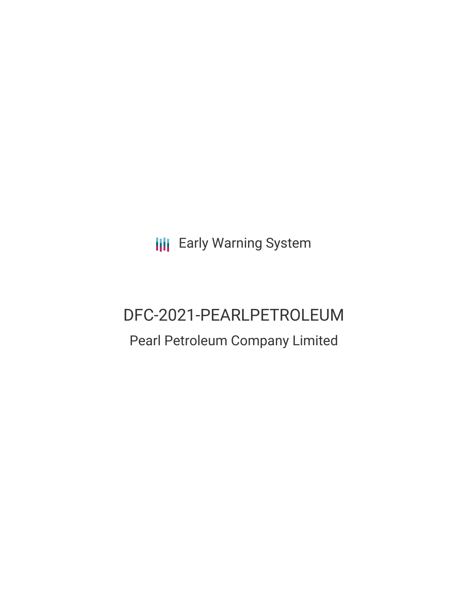**III** Early Warning System

# DFC-2021-PEARLPETROLEUM

## Pearl Petroleum Company Limited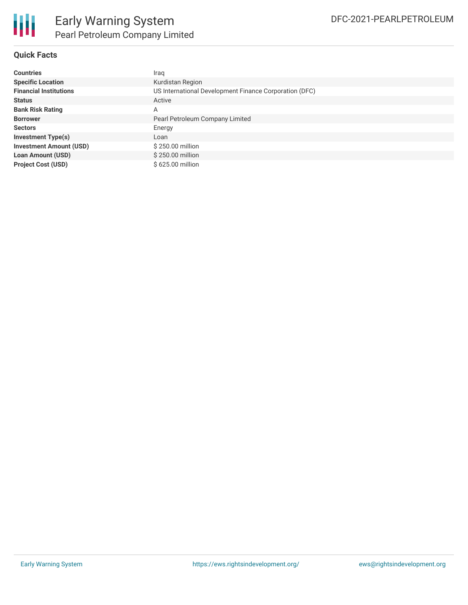

#### **Quick Facts**

| <b>Countries</b>               | Iraq                                                   |
|--------------------------------|--------------------------------------------------------|
| <b>Specific Location</b>       | Kurdistan Region                                       |
| <b>Financial Institutions</b>  | US International Development Finance Corporation (DFC) |
| <b>Status</b>                  | Active                                                 |
| <b>Bank Risk Rating</b>        | A                                                      |
| <b>Borrower</b>                | Pearl Petroleum Company Limited                        |
| <b>Sectors</b>                 | Energy                                                 |
| <b>Investment Type(s)</b>      | Loan                                                   |
| <b>Investment Amount (USD)</b> | \$250.00 million                                       |
| <b>Loan Amount (USD)</b>       | \$250.00 million                                       |
| <b>Project Cost (USD)</b>      | \$625,00 million                                       |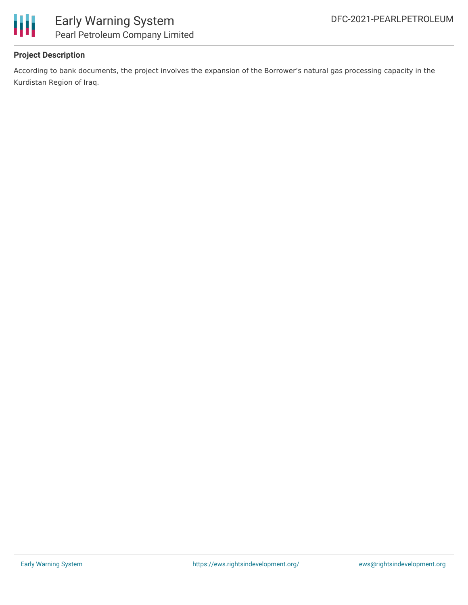

## Early Warning System Pearl Petroleum Company Limited

#### **Project Description**

According to bank documents, the project involves the expansion of the Borrower's natural gas processing capacity in the Kurdistan Region of Iraq.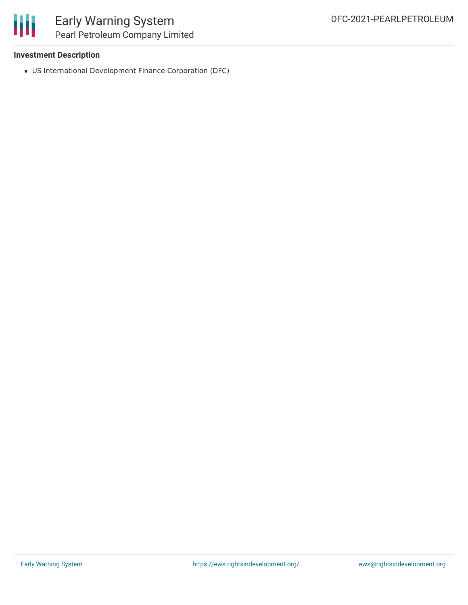

## Early Warning System Pearl Petroleum Company Limited

#### **Investment Description**

US International Development Finance Corporation (DFC)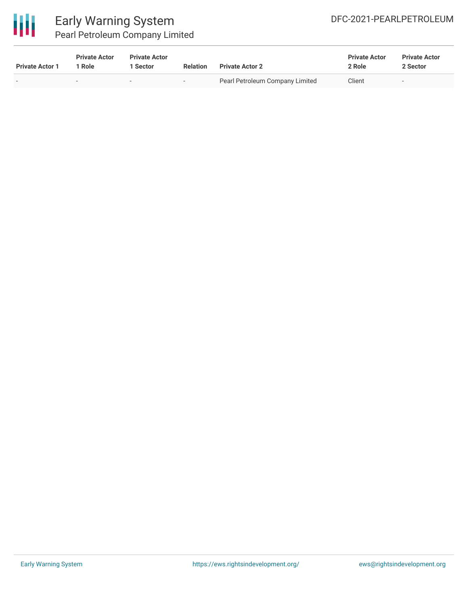

### Early Warning System Pearl Petroleum Company Limited

| <b>Private Actor 1</b> | <b>Private Actor</b><br>Role | <b>Private Actor</b><br>Sector | <b>Relation</b>          | <b>Private Actor 2</b>          | <b>Private Actor</b><br>2 Role | <b>Private Actor</b><br>2 Sector |
|------------------------|------------------------------|--------------------------------|--------------------------|---------------------------------|--------------------------------|----------------------------------|
|                        | $\overline{\phantom{0}}$     |                                | $\overline{\phantom{0}}$ | Pearl Petroleum Company Limited | Client                         |                                  |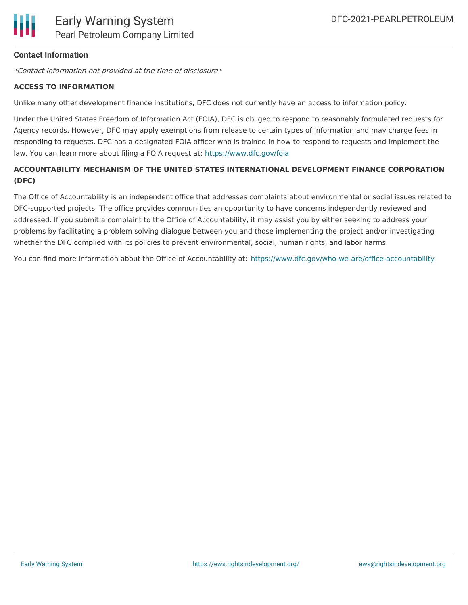#### **Contact Information**

\*Contact information not provided at the time of disclosure\*

#### **ACCESS TO INFORMATION**

Unlike many other development finance institutions, DFC does not currently have an access to information policy.

Under the United States Freedom of Information Act (FOIA), DFC is obliged to respond to reasonably formulated requests for Agency records. However, DFC may apply exemptions from release to certain types of information and may charge fees in responding to requests. DFC has a designated FOIA officer who is trained in how to respond to requests and implement the law. You can learn more about filing a FOIA request at: <https://www.dfc.gov/foia>

#### **ACCOUNTABILITY MECHANISM OF THE UNITED STATES INTERNATIONAL DEVELOPMENT FINANCE CORPORATION (DFC)**

The Office of Accountability is an independent office that addresses complaints about environmental or social issues related to DFC-supported projects. The office provides communities an opportunity to have concerns independently reviewed and addressed. If you submit a complaint to the Office of Accountability, it may assist you by either seeking to address your problems by facilitating a problem solving dialogue between you and those implementing the project and/or investigating whether the DFC complied with its policies to prevent environmental, social, human rights, and labor harms.

You can find more information about the Office of Accountability at: <https://www.dfc.gov/who-we-are/office-accountability>